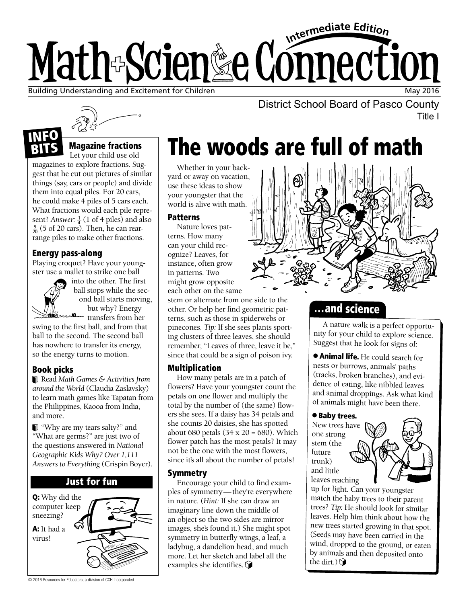# Intermediate Edition Math-Scien&e Connection Building Understanding and Excitement for Children May 2016 (1998) 2006 1999 (1999) 2016

Title I



### Magazine fractions

Let your child use old magazines to explore fractions. Suggest that he cut out pictures of similar things (say, cars or people) and divide them into equal piles. For 20 cars, he could make 4 piles of 5 cars each. What fractions would each pile represent? *Answer*:  $\frac{1}{4}$  (1 of 4 piles) and also 5 (5 of 20 cere). Then he can rear  $\frac{5}{20}$  (5 of 20 cars). Then, he can rearrange piles to make other fractions.

### Energy pass-along

Playing croquet? Have your youngster use a mallet to strike one ball



BITS

into the other. The first ball stops while the second ball starts moving, but why? Energy transfers from her

swing to the first ball, and from that ball to the second. The second ball has nowhere to transfer its energy, so the energy turns to motion.

### Book picks

Read *Math Games & Activities from around the World* (Claudia Zaslavsky) to learn math games like Tapatan from the Philippines, Kaooa from India, and more.

"Why are my tears salty?" and "What are germs?" are just two of the questions answered in *National Geographic Kids Why? Over 1,111 Answers to Everything* (Crispin Boyer).



 $\frac{N}{2115}$  Magazine fractions **The woods are full of math** 

Whether in your backyard or away on vacation, use these ideas to show your youngster that the world is alive with math.

### **Patterns**

Nature loves patterns. How many can your child recognize? Leaves, for instance, often grow in patterns. Two might grow opposite each other on the same

stem or alternate from one side to the other. Or help her find geometric patterns, such as those in spiderwebs or pinecones. *Tip:* If she sees plants sporting clusters of three leaves, she should remember, "Leaves of three, leave it be," since that could be a sign of poison ivy.

### Multiplication

How many petals are in a patch of flowers? Have your youngster count the petals on one flower and multiply the total by the number of (the same) flowers she sees. If a daisy has 34 petals and she counts 20 daisies, she has spotted about 680 petals  $(34 \times 20 = 680)$ . Which flower patch has the most petals? It may not be the one with the most flowers, since it's all about the number of petals!

### Symmetry

Encourage your child to find examples of symmetry—they're everywhere in nature. (*Hint:* If she can draw an imaginary line down the middle of an object so the two sides are mirror images, she's found it.) She might spot symmetry in butterfly wings, a leaf, a ladybug, a dandelion head, and much more. Let her sketch and label all the examples she identifies.  $\bigcirc$ 



District School Board of Pasco County

## …and science

A nature walk is a perfect opportunity for your child to explore science. Suggest that he look for signs of:

● Animal life. He could search for nests or burrows, animals' paths (tracks, broken branches), and evidence of eating, like nibbled leaves and animal droppings. Ask what kind of animals might have been there.

### ● Baby trees.

New trees have one strong stem (the future trunk) and little leaves reaching



up for light. Can your youngster match the baby trees to their parent trees? *Tip:* He should look for similar leaves. Help him think about how the new trees started growing in that spot. (Seeds may have been carried in the wind, dropped to the ground, or eaten by animals and then deposited onto the dirt.)  $\mathbf{\hat{S}}$ 

© 2016 Resources for Educators, a division of CCH Incorporated